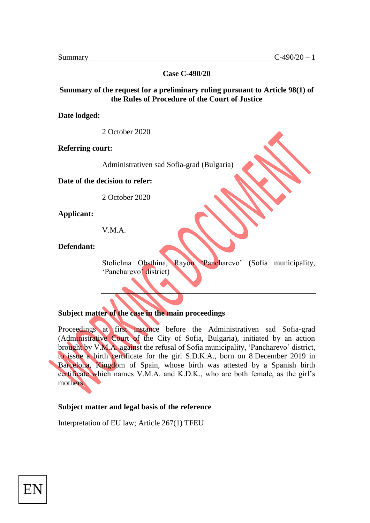**Case C-490/20**

#### **Summary of the request for a preliminary ruling pursuant to Article 98(1) of the Rules of Procedure of the Court of Justice**

**Date lodged:** 

2 October 2020

**Referring court:** 

Administrativen sad Sofia-grad (Bulgaria)

**Date of the decision to refer:** 

2 October 2020

**Applicant:** 

V.M.A.

**Defendant:** 

Stolichna Obsthina, Rayon 'Pancharevo' (Sofia municipality, 'Pancharevo' district)

**Subject matter of the case in the main proceedings**

Proceedings at first instance before the Administrativen sad Sofia-grad (Administrative Court of the City of Sofia, Bulgaria), initiated by an action brought by V.M.A. against the refusal of Sofia municipality, 'Pancharevo' district, to issue a birth certificate for the girl S.D.K.A., born on 8 December 2019 in Barcelona, Kingdom of Spain, whose birth was attested by a Spanish birth certificate which names V.M.A. and K.D.K., who are both female, as the girl's mothers.

#### **Subject matter and legal basis of the reference**

Interpretation of EU law; Article 267(1) TFEU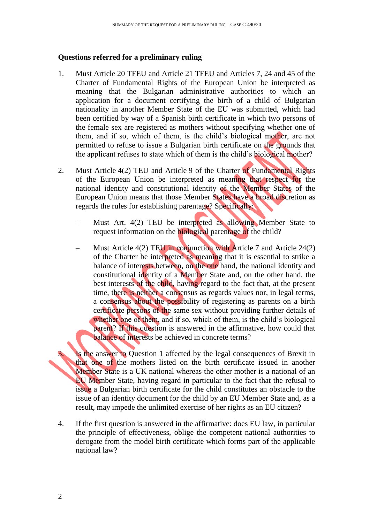### **Questions referred for a preliminary ruling**

- 1. Must Article 20 TFEU and Article 21 TFEU and Articles 7, 24 and 45 of the Charter of Fundamental Rights of the European Union be interpreted as meaning that the Bulgarian administrative authorities to which an application for a document certifying the birth of a child of Bulgarian nationality in another Member State of the EU was submitted, which had been certified by way of a Spanish birth certificate in which two persons of the female sex are registered as mothers without specifying whether one of them, and if so, which of them, is the child's biological mother, are not permitted to refuse to issue a Bulgarian birth certificate on the grounds that the applicant refuses to state which of them is the child's biological mother?
- 2. Must Article 4(2) TEU and Article 9 of the Charter of Fundamental Rights of the European Union be interpreted as meaning that respect for the national identity and constitutional identity of the Member States of the European Union means that those Member States have a broad discretion as regards the rules for establishing parentage? Specifically:
	- Must Art. 4(2) TEU be interpreted as allowing Member State to request information on the biological parentage of the child?
	- Must Article 4(2) TEU in conjunction with Article 7 and Article 24(2) of the Charter be interpreted as meaning that it is essential to strike a balance of interests between, on the one hand, the national identity and constitutional identity of a Member State and, on the other hand, the best interests of the child, having regard to the fact that, at the present time, there is neither a consensus as regards values nor, in legal terms, a consensus about the possibility of registering as parents on a birth certificate persons of the same sex without providing further details of whether one of them, and if so, which of them, is the child's biological parent? If this question is answered in the affirmative, how could that balance of interests be achieved in concrete terms?

3. Is the answer to Question 1 affected by the legal consequences of Brexit in that one of the mothers listed on the birth certificate issued in another Member State is a UK national whereas the other mother is a national of an EU Member State, having regard in particular to the fact that the refusal to issue a Bulgarian birth certificate for the child constitutes an obstacle to the issue of an identity document for the child by an EU Member State and, as a result, may impede the unlimited exercise of her rights as an EU citizen?

4. If the first question is answered in the affirmative: does EU law, in particular the principle of effectiveness, oblige the competent national authorities to derogate from the model birth certificate which forms part of the applicable national law?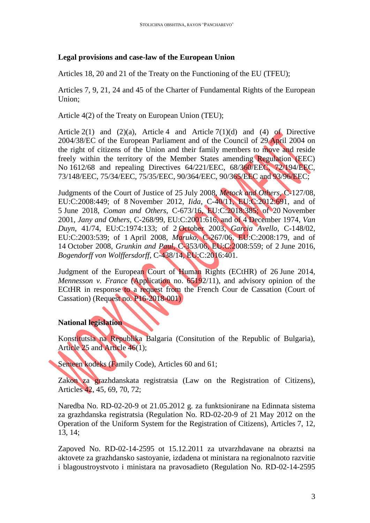### **Legal provisions and case-law of the European Union**

Articles 18, 20 and 21 of the Treaty on the Functioning of the EU (TFEU);

Articles 7, 9, 21, 24 and 45 of the Charter of Fundamental Rights of the European Union;

Article 4(2) of the Treaty on European Union (TEU);

Article  $2(1)$  and  $(2)(a)$ , Article 4 and Article  $7(1)(d)$  and  $(4)$  of Directive 2004/38/EC of the European Parliament and of the Council of 29 April 2004 on the right of citizens of the Union and their family members to move and reside freely within the territory of the Member States amending Regulation (EEC) No 1612/68 and repealing Directives 64/221/EEC, 68/360/EEC, 72/194/EEC, 73/148/EEC, 75/34/EEC, 75/35/EEC, 90/364/EEC, 90/365/EEC and 93/96/EEC;

Judgments of the Court of Justice of 25 July 2008, *Metock and Others*, C-127/08, EU:C:2008:449; of 8 November 2012, *Iida*, C-40/11, EU:C:2012:691, and of 5 June 2018, *Coman and Others*, C-673/16, EU:C:2018:385; of 20 November 2001, *Jany and Others*, C-268/99, EU:C:2001:616, and of 4 December 1974, *Van Duyn*, 41/74, EU:C:1974:133; of 2 October 2003, *Garcia Avello*, C-148/02, EU:C:2003:539; of 1 April 2008, *Maruko*, C-267/06, EU:C:2008:179, and of 14 October 2008, *Grunkin and Paul*, C-353/06, EU:C:2008:559; of 2 June 2016, *Bogendorff von Wolffersdorff*, C-438/14, EU:C:2016:401.

Judgment of the European Court of Human Rights (ECtHR) of 26 June 2014, *Mennesson v. France* (Application no. 65192/11), and advisory opinion of the ECtHR in response to a request from the French Cour de Cassation (Court of Cassation) (Request no. P16-2018-001)

## **National legislation**

Konstitutsia na Republika Balgaria (Consitution of the Republic of Bulgaria), Article 25 and Article 46(1);

Semeen kodeks (Family Code), Articles 60 and 61;

Zakon za grazhdanskata registratsia (Law on the Registration of Citizens), Articles 42, 45, 69, 70, 72;

Naredba No. RD-02-20-9 ot 21.05.2012 g. za funktsionirane na Edinnata sistema za grazhdanska registratsia (Regulation No. RD-02-20-9 of 21 May 2012 on the Operation of the Uniform System for the Registration of Citizens), Articles 7, 12, 13, 14;

Zapoved No. RD-02-14-2595 ot 15.12.2011 za utvarzhdavane na obraztsi na aktovete za grazhdansko sastoyanie, izdadena ot ministara na regionalnoto razvitie i blagoustroystvoto i ministara na pravosadieto (Regulation No. RD-02-14-2595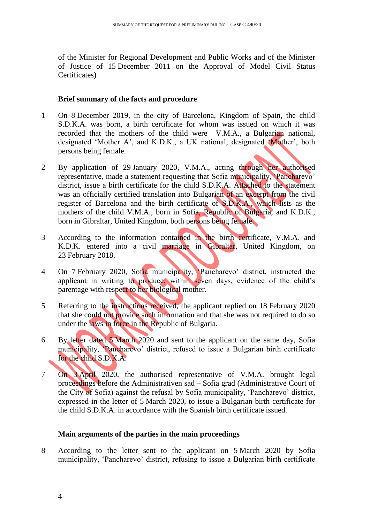of the Minister for Regional Development and Public Works and of the Minister of Justice of 15 December 2011 on the Approval of Model Civil Status Certificates)

### **Brief summary of the facts and procedure**

- 1 On 8 December 2019, in the city of Barcelona, Kingdom of Spain, the child S.D.K.A. was born, a birth certificate for whom was issued on which it was recorded that the mothers of the child were V.M.A., a Bulgarian national, designated 'Mother A', and K.D.K., a UK national, designated 'Mother', both persons being female.
- 2 By application of 29 January 2020, V.M.A., acting through her authorised representative, made a statement requesting that Sofia municipality, 'Pancharevo' district, issue a birth certificate for the child S.D.K.A. Attached to the statement was an officially certified translation into Bulgarian of an excerpt from the civil register of Barcelona and the birth certificate of S.D.K.A., which lists as the mothers of the child V.M.A., born in Sofia, Republic of Bulgaria, and K.D.K., born in Gibraltar, United Kingdom, both persons being female.
- 3 According to the information contained in the birth certificate, V.M.A. and K.D.K. entered into a civil marriage in Gibraltar, United Kingdom, on 23 February 2018.
- 4 On 7 February 2020, Sofia municipality, 'Pancharevo' district, instructed the applicant in writing to produce, within seven days, evidence of the child's parentage with respect to her biological mother.
- 5 Referring to the instructions received, the applicant replied on 18 February 2020 that she could not provide such information and that she was not required to do so under the laws in force in the Republic of Bulgaria.
- 6 By letter dated 5 March 2020 and sent to the applicant on the same day, Sofia municipality, 'Pancharevo' district, refused to issue a Bulgarian birth certificate for the child S.D.K.A.
- 7 On 3 April 2020, the authorised representative of V.M.A. brought legal proceedings before the Administrativen sad – Sofia grad (Administrative Court of the City of Sofia) against the refusal by Sofia municipality, 'Pancharevo' district, expressed in the letter of 5 March 2020, to issue a Bulgarian birth certificate for the child S.D.K.A. in accordance with the Spanish birth certificate issued.

### **Main arguments of the parties in the main proceedings**

8 According to the letter sent to the applicant on 5 March 2020 by Sofia municipality, 'Pancharevo' district, refusing to issue a Bulgarian birth certificate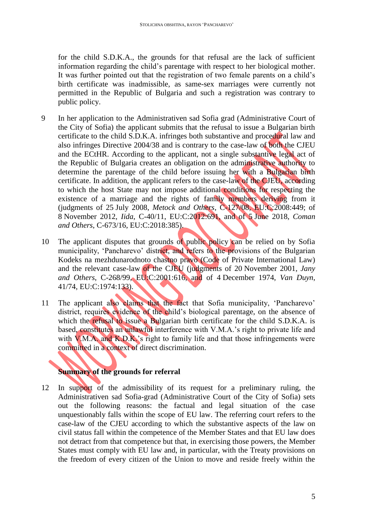for the child S.D.K.A., the grounds for that refusal are the lack of sufficient information regarding the child's parentage with respect to her biological mother. It was further pointed out that the registration of two female parents on a child's birth certificate was inadmissible, as same-sex marriages were currently not permitted in the Republic of Bulgaria and such a registration was contrary to public policy.

- 9 In her application to the Administrativen sad Sofia grad (Administrative Court of the City of Sofia) the applicant submits that the refusal to issue a Bulgarian birth certificate to the child S.D.K.A. infringes both substantive and procedural law and also infringes Directive 2004/38 and is contrary to the case-law of both the CJEU and the ECtHR. According to the applicant, not a single substantive legal act of the Republic of Bulgaria creates an obligation on the administrative authority to determine the parentage of the child before issuing her with a Bulgarian birth certificate. In addition, the applicant refers to the case-law of the CJEU, according to which the host State may not impose additional conditions for respecting the existence of a marriage and the rights of family members deriving from it (judgments of 25 July 2008, *Metock and Others*, C-127/08, EU:C:2008:449; of 8 November 2012, *Iida*, C-40/11, EU:C:2012:691, and of 5 June 2018, *Coman and Others*, C-673/16, EU:C:2018:385).
- 10 The applicant disputes that grounds of public policy can be relied on by Sofia municipality, 'Pancharevo' district, and refers to the provisions of the Bulgarian Kodeks na mezhdunarodnoto chastno pravo (Code of Private International Law) and the relevant case-law of the CJEU (judgments of 20 November 2001, *Jany and Others*, C-268/99, EU:C:2001:616, and of 4 December 1974, *Van Duyn*, 41/74, EU:C:1974:133).
- 11 The applicant also claims that the fact that Sofia municipality, 'Pancharevo' district, requires evidence of the child's biological parentage, on the absence of which the refusal to issue a Bulgarian birth certificate for the child S.D.K.A. is based, constitutes an unlawful interference with V.M.A.'s right to private life and with **V.M.A.** and **K.D.K.**'s right to family life and that those infringements were committed in a context of direct discrimination.

# **Summary of the grounds for referral**

12 In support of the admissibility of its request for a preliminary ruling, the Administrativen sad Sofia-grad (Administrative Court of the City of Sofia) sets out the following reasons: the factual and legal situation of the case unquestionably falls within the scope of EU law. The referring court refers to the case-law of the CJEU according to which the substantive aspects of the law on civil status fall within the competence of the Member States and that EU law does not detract from that competence but that, in exercising those powers, the Member States must comply with EU law and, in particular, with the Treaty provisions on the freedom of every citizen of the Union to move and reside freely within the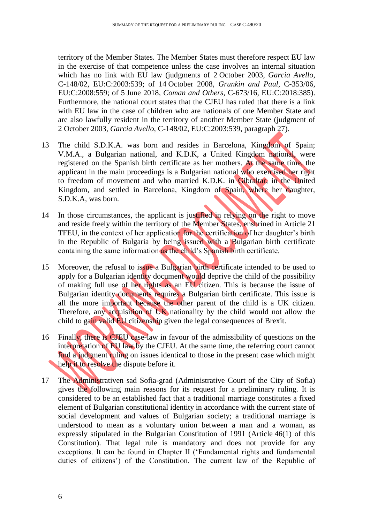territory of the Member States. The Member States must therefore respect EU law in the exercise of that competence unless the case involves an internal situation which has no link with EU law (judgments of 2 October 2003, *Garcia Avello*, C-148/02, EU:C:2003:539; of 14 October 2008, *Grunkin and Paul*, C-353/06, EU:C:2008:559; of 5 June 2018, *Coman and Others*, C-673/16, EU:C:2018:385). Furthermore, the national court states that the CJEU has ruled that there is a link with EU law in the case of children who are nationals of one Member State and are also lawfully resident in the territory of another Member State (judgment of 2 October 2003, *Garcia Avello*, C-148/02, EU:C:2003:539, paragraph 27).

- 13 The child S.D.K.A. was born and resides in Barcelona, Kingdom of Spain; V.M.A., a Bulgarian national, and K.D.K, a United Kingdom national, were registered on the Spanish birth certificate as her mothers. At the same time, the applicant in the main proceedings is a Bulgarian national who exercised her right to freedom of movement and who married K.D.K. in Gibraltar, in the United Kingdom, and settled in Barcelona, Kingdom of Spain, where her daughter, S.D.K.A, was born.
- 14 In those circumstances, the applicant is justified in relying on the right to move and reside freely within the territory of the Member States, enshrined in Article 21 TFEU, in the context of her application for the certification of her daughter's birth in the Republic of Bulgaria by being issued with a Bulgarian birth certificate containing the same information as the child's Spanish birth certificate.
- 15 Moreover, the refusal to issue a Bulgarian birth certificate intended to be used to apply for a Bulgarian identity document would deprive the child of the possibility of making full use of her rights as an EU citizen. This is because the issue of Bulgarian identity documents requires a Bulgarian birth certificate. This issue is all the more important because the other parent of the child is a UK citizen. Therefore, any acquisition of UK nationality by the child would not allow the child to gain valid EU citizenship given the legal consequences of Brexit.
- 16 Finally, there is CJEU case-law in favour of the admissibility of questions on the interpretation of EU law by the CJEU. At the same time, the referring court cannot find a judgment ruling on issues identical to those in the present case which might help it to resolve the dispute before it.
- 17 The Administrativen sad Sofia-grad (Administrative Court of the City of Sofia) gives the following main reasons for its request for a preliminary ruling. It is considered to be an established fact that a traditional marriage constitutes a fixed element of Bulgarian constitutional identity in accordance with the current state of social development and values of Bulgarian society; a traditional marriage is understood to mean as a voluntary union between a man and a woman, as expressly stipulated in the Bulgarian Constitution of 1991 (Article 46(1) of this Constitution). That legal rule is mandatory and does not provide for any exceptions. It can be found in Chapter II ('Fundamental rights and fundamental duties of citizens') of the Constitution. The current law of the Republic of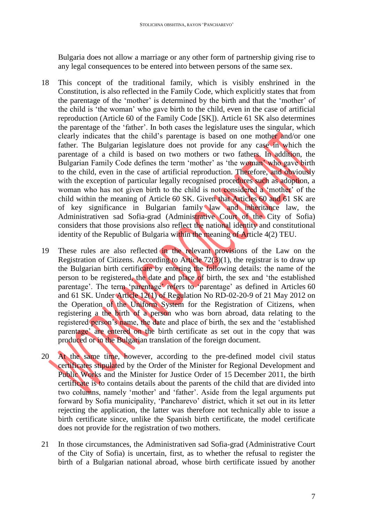Bulgaria does not allow a marriage or any other form of partnership giving rise to any legal consequences to be entered into between persons of the same sex.

- 18 This concept of the traditional family, which is visibly enshrined in the Constitution, is also reflected in the Family Code, which explicitly states that from the parentage of the 'mother' is determined by the birth and that the 'mother' of the child is 'the woman' who gave birth to the child, even in the case of artificial reproduction (Article 60 of the Family Code [SK]). Article 61 SK also determines the parentage of the 'father'. In both cases the legislature uses the singular, which clearly indicates that the child's parentage is based on one mother and/or one father. The Bulgarian legislature does not provide for any case in which the parentage of a child is based on two mothers or two fathers. In addition, the Bulgarian Family Code defines the term 'mother' as 'the woman' who gave birth to the child, even in the case of artificial reproduction. Therefore, and obviously with the exception of particular legally recognised procedures such as adoption, a woman who has not given birth to the child is not considered a 'mother' of the child within the meaning of Article 60 SK. Given that Articles 60 and 61 SK are of key significance in Bulgarian family law and inheritance law, the Administrativen sad Sofia-grad (Administrative Court of the City of Sofia) considers that those provisions also reflect the national identity and constitutional identity of the Republic of Bulgaria within the meaning of Article 4(2) TEU.
- 19 These rules are also reflected in the relevant provisions of the Law on the Registration of Citizens. According to Article  $72(3)(1)$ , the registrar is to draw up the Bulgarian birth certificate by entering the following details: the name of the person to be registered, the date and place of birth, the sex and 'the established parentage'. The term 'parentage' refers to 'parentage' as defined in Articles 60 and 61 SK. Under Article 12(1) of Regulation No RD-02-20-9 of 21 May 2012 on the Operation of the Uniform System for the Registration of Citizens, when registering a the birth of a person who was born abroad, data relating to the registered person's name, the date and place of birth, the sex and the 'established parentage' are entered on the birth certificate as set out in the copy that was produced or in the Bulgarian translation of the foreign document.
- 20 At the same time, however, according to the pre-defined model civil status certificates stipulated by the Order of the Minister for Regional Development and Public Works and the Minister for Justice Order of 15 December 2011, the birth certificate is to contains details about the parents of the child that are divided into two columns, namely 'mother' and 'father'. Aside from the legal arguments put forward by Sofia municipality, 'Pancharevo' district, which it set out in its letter rejecting the application, the latter was therefore not technically able to issue a birth certificate since, unlike the Spanish birth certificate, the model certificate does not provide for the registration of two mothers.
- 21 In those circumstances, the Administrativen sad Sofia-grad (Administrative Court of the City of Sofia) is uncertain, first, as to whether the refusal to register the birth of a Bulgarian national abroad, whose birth certificate issued by another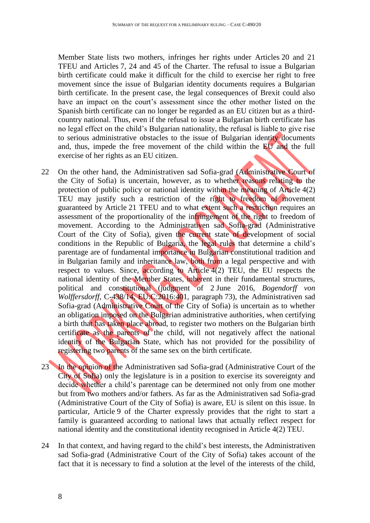Member State lists two mothers, infringes her rights under Articles 20 and 21 TFEU and Articles 7, 24 and 45 of the Charter. The refusal to issue a Bulgarian birth certificate could make it difficult for the child to exercise her right to free movement since the issue of Bulgarian identity documents requires a Bulgarian birth certificate. In the present case, the legal consequences of Brexit could also have an impact on the court's assessment since the other mother listed on the Spanish birth certificate can no longer be regarded as an EU citizen but as a thirdcountry national. Thus, even if the refusal to issue a Bulgarian birth certificate has no legal effect on the child's Bulgarian nationality, the refusal is liable to give rise to serious administrative obstacles to the issue of Bulgarian identity documents and, thus, impede the free movement of the child within the EU and the full exercise of her rights as an EU citizen.

- 22 On the other hand, the Administrativen sad Sofia-grad (Administrative Court of the City of Sofia) is uncertain, however, as to whether reasons relating to the protection of public policy or national identity within the meaning of Article 4(2) TEU may justify such a restriction of the right to freedom of movement guaranteed by Article 21 TFEU and to what extent such a restriction requires an assessment of the proportionality of the infringement of the right to freedom of movement. According to the Administrativen sad Sofia-grad (Administrative Court of the City of Sofia), given the current state of development of social conditions in the Republic of Bulgaria, the legal rules that determine a child's parentage are of fundamental importance in Bulgarian constitutional tradition and in Bulgarian family and inheritance law, both from a legal perspective and with respect to values. Since, according to Article 4(2) TEU, the EU respects the national identity of the Member States, inherent in their fundamental structures, political and constitutional (judgment of 2 June 2016, *Bogendorff von Wolffersdorff*, C-438/14, EU:C:2016:401, paragraph 73), the Administrativen sad Sofia-grad (Administrative Court of the City of Sofia) is uncertain as to whether an obligation imposed on the Bulgarian administrative authorities, when certifying a birth that has taken place abroad, to register two mothers on the Bulgarian birth certificate as the parents of the child, will not negatively affect the national identity of the Bulgarian State, which has not provided for the possibility of registering two parents of the same sex on the birth certificate.
- 23 In the opinion of the Administrativen sad Sofia-grad (Administrative Court of the City of Sofia) only the legislature is in a position to exercise its sovereignty and decide whether a child's parentage can be determined not only from one mother but from two mothers and/or fathers. As far as the Administrativen sad Sofia-grad (Administrative Court of the City of Sofia) is aware, EU is silent on this issue. In particular, Article 9 of the Charter expressly provides that the right to start a family is guaranteed according to national laws that actually reflect respect for national identity and the constitutional identity recognised in Article 4(2) TEU.
- 24 In that context, and having regard to the child's best interests, the Administrativen sad Sofia-grad (Administrative Court of the City of Sofia) takes account of the fact that it is necessary to find a solution at the level of the interests of the child,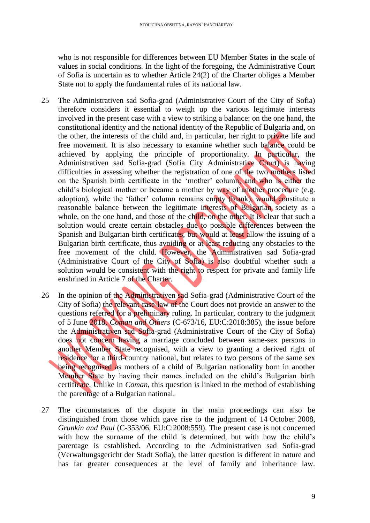who is not responsible for differences between EU Member States in the scale of values in social conditions. In the light of the foregoing, the Administrative Court of Sofia is uncertain as to whether Article 24(2) of the Charter obliges a Member State not to apply the fundamental rules of its national law.

- 25 The Administrativen sad Sofia-grad (Administrative Court of the City of Sofia) therefore considers it essential to weigh up the various legitimate interests involved in the present case with a view to striking a balance: on the one hand, the constitutional identity and the national identity of the Republic of Bulgaria and, on the other, the interests of the child and, in particular, her right to private life and free movement. It is also necessary to examine whether such balance could be achieved by applying the principle of proportionality. In particular, the Administrativen sad Sofia-grad (Sofia City Administrative Court) is having difficulties in assessing whether the registration of one of the two mothers listed on the Spanish birth certificate in the 'mother' column, and who is either the child's biological mother or became a mother by way of another procedure (e.g. adoption), while the 'father' column remains empty (blank), would constitute a reasonable balance between the legitimate interests of Bulgarian society as a whole, on the one hand, and those of the child, on the other. It is clear that such a solution would create certain obstacles due to possible differences between the Spanish and Bulgarian birth certificates, but would at least allow the issuing of a Bulgarian birth certificate, thus avoiding or at least reducing any obstacles to the free movement of the child. However, the Administrativen sad Sofia-grad (Administrative Court of the City of Sofia) is also doubtful whether such a solution would be consistent with the right to respect for private and family life enshrined in Article 7 of the Charter.
- 26 In the opinion of the Administrativen sad Sofia-grad (Administrative Court of the City of Sofia) the relevant case-law of the Court does not provide an answer to the questions referred for a preliminary ruling. In particular, contrary to the judgment of 5 June 2018, *Coman and Others* (C-673/16, EU:C:2018:385), the issue before the Administrativen sad Sofia-grad (Administrative Court of the City of Sofia) does not concern having a marriage concluded between same-sex persons in another Member State recognised, with a view to granting a derived right of residence for a third-country national, but relates to two persons of the same sex being recognised as mothers of a child of Bulgarian nationality born in another Member State by having their names included on the child's Bulgarian birth certificate. Unlike in *Coman*, this question is linked to the method of establishing the parentage of a Bulgarian national.
- 27 The circumstances of the dispute in the main proceedings can also be distinguished from those which gave rise to the judgment of 14 October 2008, *Grunkin and Paul* (C-353/06, EU:C:2008:559). The present case is not concerned with how the surname of the child is determined, but with how the child's parentage is established. According to the Administrativen sad Sofia-grad (Verwaltungsgericht der Stadt Sofia), the latter question is different in nature and has far greater consequences at the level of family and inheritance law.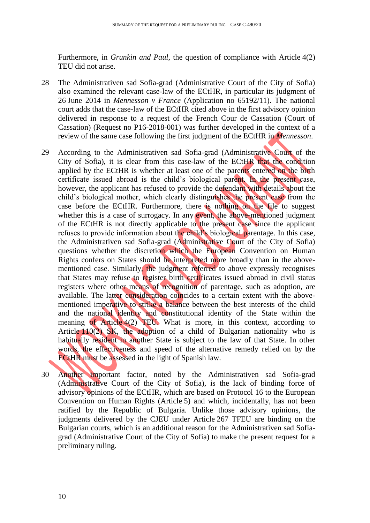Furthermore, in *Grunkin and Paul*, the question of compliance with Article 4(2) TEU did not arise.

- 28 The Administrativen sad Sofia-grad (Administrative Court of the City of Sofia) also examined the relevant case-law of the ECtHR, in particular its judgment of 26 June 2014 in *Mennesson v France* (Application no 65192/11). The national court adds that the case-law of the ECtHR cited above in the first advisory opinion delivered in response to a request of the French Cour de Cassation (Court of Cassation) (Request no P16-2018-001) was further developed in the context of a review of the same case following the first judgment of the ECtHR in *Mennesson*.
- 29 According to the Administrativen sad Sofia-grad (Administrative Court of the City of Sofia), it is clear from this case-law of the ECtHR that the condition applied by the ECtHR is whether at least one of the parents entered on the birth certificate issued abroad is the child's biological parent. In the present case, however, the applicant has refused to provide the defendant with details about the child's biological mother, which clearly distinguishes the present case from the case before the ECtHR. Furthermore, there is nothing on the file to suggest whether this is a case of surrogacy. In any event, the above-mentioned judgment of the ECtHR is not directly applicable to the present case since the applicant refuses to provide information about the child's biological parentage. In this case, the Administrativen sad Sofia-grad (Administrative Court of the City of Sofia) questions whether the discretion which the European Convention on Human Rights confers on States should be interpreted more broadly than in the abovementioned case. Similarly, the judgment referred to above expressly recognises that States may refuse to register birth certificates issued abroad in civil status registers where other means of recognition of parentage, such as adoption, are available. The latter consideration coincides to a certain extent with the abovementioned imperative to strike a balance between the best interests of the child and the national identity and constitutional identity of the State within the meaning of Article 4(2) TEU. What is more, in this context, according to Article 110(2) SK, the adoption of a child of Bulgarian nationality who is habitually resident in another State is subject to the law of that State. In other words, the effectiveness and speed of the alternative remedy relied on by the ECtHR must be assessed in the light of Spanish law.
- 30 Another important factor, noted by the Administrativen sad Sofia-grad (Administrative Court of the City of Sofia), is the lack of binding force of advisory opinions of the ECtHR, which are based on Protocol 16 to the European Convention on Human Rights (Article 5) and which, incidentally, has not been ratified by the Republic of Bulgaria. Unlike those advisory opinions, the judgments delivered by the CJEU under Article 267 TFEU are binding on the Bulgarian courts, which is an additional reason for the Administrativen sad Sofiagrad (Administrative Court of the City of Sofia) to make the present request for a preliminary ruling.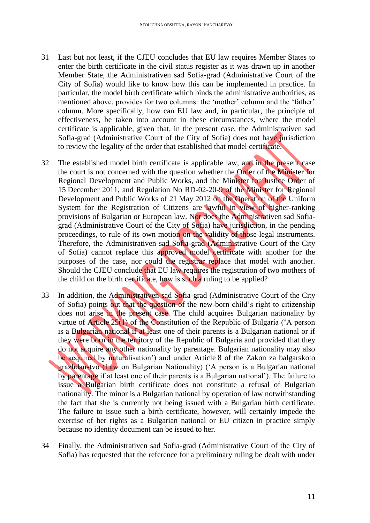- 31 Last but not least, if the CJEU concludes that EU law requires Member States to enter the birth certificate in the civil status register as it was drawn up in another Member State, the Administrativen sad Sofia-grad (Administrative Court of the City of Sofia) would like to know how this can be implemented in practice. In particular, the model birth certificate which binds the administrative authorities, as mentioned above, provides for two columns: the 'mother' column and the 'father' column. More specifically, how can EU law and, in particular, the principle of effectiveness, be taken into account in these circumstances, where the model certificate is applicable, given that, in the present case, the Administrativen sad Sofia-grad (Administrative Court of the City of Sofia) does not have jurisdiction to review the legality of the order that established that model certificate.
- 32 The established model birth certificate is applicable law, and in the present case the court is not concerned with the question whether the Order of the Minister for Regional Development and Public Works, and the Minister for Justice Order of 15 December 2011, and Regulation No RD-02-20-9 of the Minister for Regional Development and Public Works of 21 May 2012 on the Operation of the Uniform System for the Registration of Citizens are lawful in view of higher-ranking provisions of Bulgarian or European law. Nor does the Administrativen sad Sofiagrad (Administrative Court of the City of Sofia) have jurisdiction, in the pending proceedings, to rule of its own motion on the validity of those legal instruments. Therefore, the Administrativen sad Sofia-grad (Administrative Court of the City of Sofia) cannot replace this approved model certificate with another for the purposes of the case, nor could the registrar replace that model with another. Should the CJEU conclude that EU law requires the registration of two mothers of the child on the birth certificate, how is such a ruling to be applied?
- 33 In addition, the Administrativen sad Sofia-grad (Administrative Court of the City of Sofia) points out that the question of the new-born child's right to citizenship does not arise in the present case. The child acquires Bulgarian nationality by virtue of Article 25(1) of the Constitution of the Republic of Bulgaria ('A person is a Bulgarian national if at least one of their parents is a Bulgarian national or if they were born in the territory of the Republic of Bulgaria and provided that they do not acquire any other nationality by parentage. Bulgarian nationality may also be acquired by naturalisation') and under Article 8 of the Zakon za balgarskoto grazhdanstvo (Law on Bulgarian Nationality) ('A person is a Bulgarian national by parentage if at least one of their parents is a Bulgarian national'). The failure to issue a Bulgarian birth certificate does not constitute a refusal of Bulgarian nationality. The minor is a Bulgarian national by operation of law notwithstanding the fact that she is currently not being issued with a Bulgarian birth certificate. The failure to issue such a birth certificate, however, will certainly impede the exercise of her rights as a Bulgarian national or EU citizen in practice simply because no identity document can be issued to her.
- 34 Finally, the Administrativen sad Sofia-grad (Administrative Court of the City of Sofia) has requested that the reference for a preliminary ruling be dealt with under